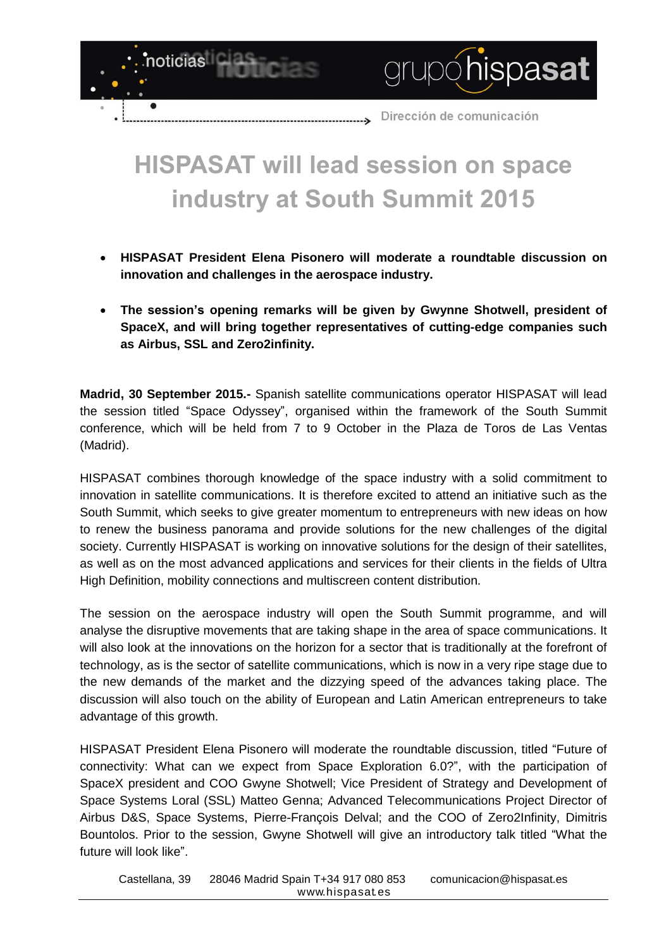

## **HISPASAT will lead session on space industry at South Summit 2015**

- **HISPASAT President Elena Pisonero will moderate a roundtable discussion on innovation and challenges in the aerospace industry.**
- **The session's opening remarks will be given by Gwynne Shotwell, president of SpaceX, and will bring together representatives of cutting-edge companies such as Airbus, SSL and Zero2infinity.**

**Madrid, 30 September 2015.-** Spanish satellite communications operator HISPASAT will lead the session titled "Space Odyssey", organised within the framework of the South Summit conference, which will be held from 7 to 9 October in the Plaza de Toros de Las Ventas (Madrid).

HISPASAT combines thorough knowledge of the space industry with a solid commitment to innovation in satellite communications. It is therefore excited to attend an initiative such as the South Summit, which seeks to give greater momentum to entrepreneurs with new ideas on how to renew the business panorama and provide solutions for the new challenges of the digital society. Currently HISPASAT is working on innovative solutions for the design of their satellites, as well as on the most advanced applications and services for their clients in the fields of Ultra High Definition, mobility connections and multiscreen content distribution.

The session on the aerospace industry will open the South Summit programme, and will analyse the disruptive movements that are taking shape in the area of space communications. It will also look at the innovations on the horizon for a sector that is traditionally at the forefront of technology, as is the sector of satellite communications, which is now in a very ripe stage due to the new demands of the market and the dizzying speed of the advances taking place. The discussion will also touch on the ability of European and Latin American entrepreneurs to take advantage of this growth.

HISPASAT President Elena Pisonero will moderate the roundtable discussion, titled "Future of connectivity: What can we expect from Space Exploration 6.0?", with the participation of SpaceX president and COO Gwyne Shotwell; Vice President of Strategy and Development of Space Systems Loral (SSL) Matteo Genna; Advanced Telecommunications Project Director of Airbus D&S, Space Systems, Pierre-François Delval; and the COO of Zero2Infinity, Dimitris Bountolos. Prior to the session, Gwyne Shotwell will give an introductory talk titled "What the future will look like".